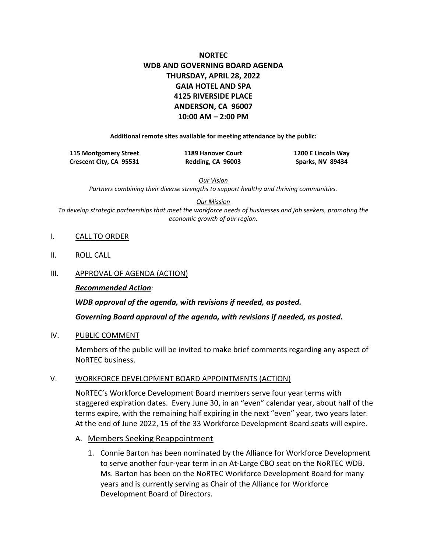# **NORTEC WDB AND GOVERNING BOARD AGENDA THURSDAY, APRIL 28, 2022 GAIA HOTEL AND SPA 4125 RIVERSIDE PLACE ANDERSON, CA 96007 10:00 AM – 2:00 PM**

**Additional remote sites available for meeting attendance by the public:**

| 115 Montgomery Street   | <b>1189 Hanover Court</b> | 1200 E Lincoln Way |
|-------------------------|---------------------------|--------------------|
| Crescent City, CA 95531 | Redding, CA 96003         | Sparks, NV 89434   |

*Our Vision* 

*Partners combining their diverse strengths to support healthy and thriving communities.*

*Our Mission*

*To develop strategic partnerships that meet the workforce needs of businesses and job seekers, promoting the economic growth of our region.*

- I. CALL TO ORDER
- II. ROLL CALL
- III. APPROVAL OF AGENDA (ACTION)

#### *Recommended Action:*

*WDB approval of the agenda, with revisions if needed, as posted. Governing Board approval of the agenda, with revisions if needed, as posted.*

#### IV. PUBLIC COMMENT

Members of the public will be invited to make brief comments regarding any aspect of NoRTEC business.

#### V. WORKFORCE DEVELOPMENT BOARD APPOINTMENTS (ACTION)

NoRTEC's Workforce Development Board members serve four year terms with staggered expiration dates. Every June 30, in an "even" calendar year, about half of the terms expire, with the remaining half expiring in the next "even" year, two years later. At the end of June 2022, 15 of the 33 Workforce Development Board seats will expire.

- A. Members Seeking Reappointment
	- 1. Connie Barton has been nominated by the Alliance for Workforce Development to serve another four-year term in an At-Large CBO seat on the NoRTEC WDB. Ms. Barton has been on the NoRTEC Workforce Development Board for many years and is currently serving as Chair of the Alliance for Workforce Development Board of Directors.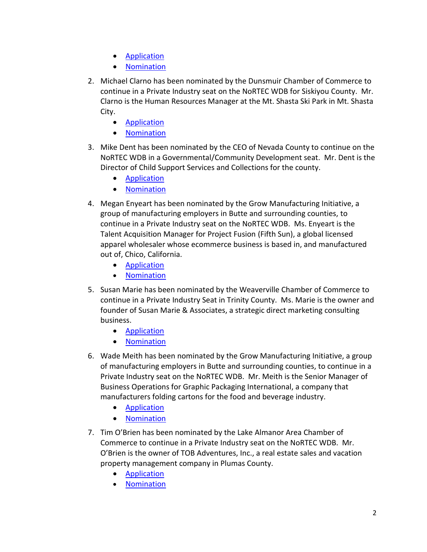- [Application](https://www.ncen.org/images/documents/WDB_Applications/2022/WDB-Application-Barton-2022.pdf)
- **[Nomination](https://www.ncen.org/images/documents/WDB_Applications/2022/WDB-Nomination-Barton-2022.pdf)**
- 2. Michael Clarno has been nominated by the Dunsmuir Chamber of Commerce to continue in a Private Industry seat on the NoRTEC WDB for Siskiyou County. Mr. Clarno is the Human Resources Manager at the Mt. Shasta Ski Park in Mt. Shasta City.
	- [Application](https://www.ncen.org/images/documents/WDB_Applications/2022/WDB-Application-Clarno-2022.pdf)
	- [Nomination](https://www.ncen.org/images/documents/WDB_Applications/2022/WDB-Nomination-Clarno-2022.pdf)
- 3. Mike Dent has been nominated by the CEO of Nevada County to continue on the NoRTEC WDB in a Governmental/Community Development seat. Mr. Dent is the Director of Child Support Services and Collections for the county.
	- [Application](https://www.ncen.org/images/documents/WDB_Applications/2022/WDB-Application-Dent-2022.pdf)
	- [Nomination](https://www.ncen.org/images/documents/WDB_Applications/2022/WDB-Nomination-Dent-2022.pdf)
- 4. Megan Enyeart has been nominated by the Grow Manufacturing Initiative, a group of manufacturing employers in Butte and surrounding counties, to continue in a Private Industry seat on the NoRTEC WDB. Ms. Enyeart is the Talent Acquisition Manager for Project Fusion (Fifth Sun), a global licensed apparel wholesaler whose ecommerce business is based in, and manufactured out of, Chico, California.
	- [Application](https://www.ncen.org/images/documents/WDB_Applications/2022/WDB-Application-Enyeart-2022.pdf)
	- [Nomination](https://www.ncen.org/images/documents/WDB_Applications/2022/WDB-Nomination-Enyeart-2022.pdf)
- 5. Susan Marie has been nominated by the Weaverville Chamber of Commerce to continue in a Private Industry Seat in Trinity County. Ms. Marie is the owner and founder of Susan Marie & Associates, a strategic direct marketing consulting business.
	- [Application](https://www.ncen.org/images/documents/WDB_Applications/2022/WDB-Application-Marie-2022.pdf)
	- [Nomination](https://www.ncen.org/images/documents/WDB_Applications/2022/WDB-Nomination-Marie-2022.pdf)
- 6. Wade Meith has been nominated by the Grow Manufacturing Initiative, a group of manufacturing employers in Butte and surrounding counties, to continue in a Private Industry seat on the NoRTEC WDB. Mr. Meith is the Senior Manager of Business Operations for Graphic Packaging International, a company that manufacturers folding cartons for the food and beverage industry.
	- [Application](https://www.ncen.org/images/documents/WDB_Applications/2022/WDB-Application-Meith-2022.pdf)
	- [Nomination](https://www.ncen.org/images/documents/WDB_Applications/2022/WDB-Nomination-Meith-2022.pdf)
- 7. Tim O'Brien has been nominated by the Lake Almanor Area Chamber of Commerce to continue in a Private Industry seat on the NoRTEC WDB. Mr. O'Brien is the owner of TOB Adventures, Inc., a real estate sales and vacation property management company in Plumas County.
	- [Application](https://www.ncen.org/images/documents/WDB_Applications/2022/WDB-Application-OBrien-2022.pdf)
	- [Nomination](https://www.ncen.org/images/documents/WDB_Applications/2022/WDB-Nomination-OBrien-2022.pdf)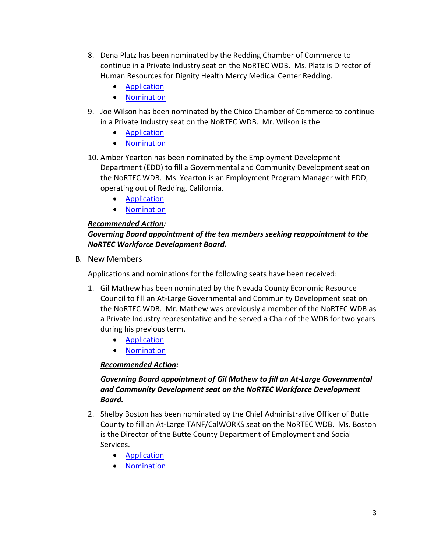- 8. Dena Platz has been nominated by the Redding Chamber of Commerce to continue in a Private Industry seat on the NoRTEC WDB. Ms. Platz is Director of Human Resources for Dignity Health Mercy Medical Center Redding.
	- [Application](https://www.ncen.org/images/documents/WDB_Applications/2022/WDB-Application-Platz-2022.pdf)
	- [Nomination](https://www.ncen.org/images/documents/WDB_Applications/2022/WDB-Nomination-Platz-2022.pdf)
- 9. Joe Wilson has been nominated by the Chico Chamber of Commerce to continue in a Private Industry seat on the NoRTEC WDB. Mr. Wilson is the
	- [Application](https://www.ncen.org/images/documents/WDB_Applications/2022/WDB-Application-WilsonJoe-2022.pdf)
	- [Nomination](https://www.ncen.org/images/documents/WDB_Applications/2022/WDB-Nomination-WilsonJoe-2022.pdf)
- 10. Amber Yearton has been nominated by the Employment Development Department (EDD) to fill a Governmental and Community Development seat on the NoRTEC WDB. Ms. Yearton is an Employment Program Manager with EDD, operating out of Redding, California.
	- [Application](https://www.ncen.org/images/documents/WDB_Applications/2022/WDB-Application-Yearton-2022.pdf)
	- [Nomination](https://www.ncen.org/images/documents/WDB_Applications/2022/WDB-Nomination-Yearton-2022.pdf)

# *Recommended Action:*

# *Governing Board appointment of the ten members seeking reappointment to the NoRTEC Workforce Development Board.*

B. New Members

Applications and nominations for the following seats have been received:

- 1. Gil Mathew has been nominated by the Nevada County Economic Resource Council to fill an At-Large Governmental and Community Development seat on the NoRTEC WDB. Mr. Mathew was previously a member of the NoRTEC WDB as a Private Industry representative and he served a Chair of the WDB for two years during his previous term.
	- [Application](https://www.ncen.org/images/documents/WDB_Applications/2022/WDB-Application-Mathew-2022.pdf)
	- [Nomination](https://www.ncen.org/images/documents/WDB_Applications/2022/WDB-Nomination-Mathew-2022.pdf)

## *Recommended Action:*

# *Governing Board appointment of Gil Mathew to fill an At-Large Governmental and Community Development seat on the NoRTEC Workforce Development Board.*

- 2. Shelby Boston has been nominated by the Chief Administrative Officer of Butte County to fill an At-Large TANF/CalWORKS seat on the NoRTEC WDB. Ms. Boston is the Director of the Butte County Department of Employment and Social Services.
	- [Application](https://www.ncen.org/images/documents/WDB_Applications/2022/WDB-Application-Boston-2022.pdf)
	- [Nomination](https://www.ncen.org/images/documents/WDB_Applications/2022/WDB-Nomination-Boston-2022.pdf)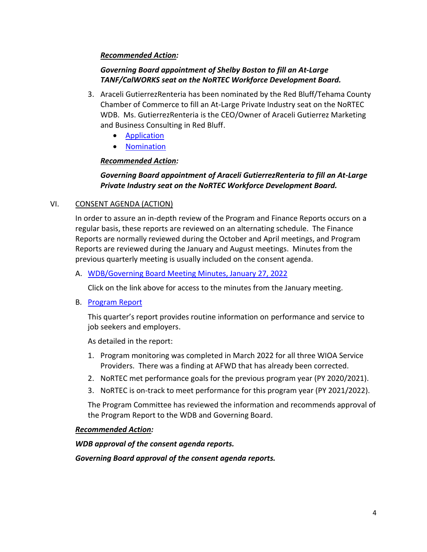## *Recommended Action:*

## *Governing Board appointment of Shelby Boston to fill an At-Large TANF/CalWORKS seat on the NoRTEC Workforce Development Board.*

- 3. Araceli GutierrezRenteria has been nominated by the Red Bluff/Tehama County Chamber of Commerce to fill an At-Large Private Industry seat on the NoRTEC WDB. Ms. GutierrezRenteria is the CEO/Owner of Araceli Gutierrez Marketing and Business Consulting in Red Bluff.
	- [Application](https://www.ncen.org/images/documents/WDB_Applications/2022/WDB-Application-GutierrezRenteria-2022.pdf)
	- [Nomination](https://www.ncen.org/images/documents/WDB_Applications/2022/WDB-Nomination-GutierrezRenteria-2022.pdf)

## *Recommended Action:*

# *Governing Board appointment of Araceli GutierrezRenteria to fill an At-Large Private Industry seat on the NoRTEC Workforce Development Board.*

## VI. CONSENT AGENDA (ACTION)

In order to assure an in-depth review of the Program and Finance Reports occurs on a regular basis, these reports are reviewed on an alternating schedule. The Finance Reports are normally reviewed during the October and April meetings, and Program Reports are reviewed during the January and August meetings. Minutes from the previous quarterly meeting is usually included on the consent agenda.

### A. [WDB/Governing Board Meeting Minutes, January 27, 2022](https://www.ncen.org/images/documents/meetings/2021-2022/wgbm-0122.pdf)

Click on the link above for access to the minutes from the January meeting.

B. [Program Report](https://www.ncen.org/images/documents/meetings/2021-2022/program-report-wgba-0422.pdf)

This quarter's report provides routine information on performance and service to job seekers and employers.

As detailed in the report:

- 1. Program monitoring was completed in March 2022 for all three WIOA Service Providers. There was a finding at AFWD that has already been corrected.
- 2. NoRTEC met performance goals for the previous program year (PY 2020/2021).
- 3. NoRTEC is on-track to meet performance for this program year (PY 2021/2022).

The Program Committee has reviewed the information and recommends approval of the Program Report to the WDB and Governing Board.

### *Recommended Action:*

*WDB approval of the consent agenda reports.*

*Governing Board approval of the consent agenda reports.*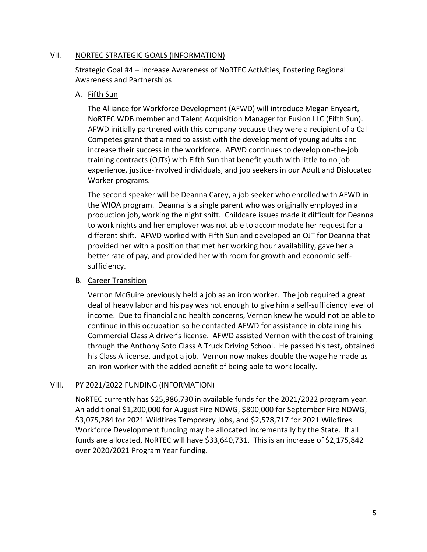### VII. NORTEC STRATEGIC GOALS (INFORMATION)

# Strategic Goal #4 – Increase Awareness of NoRTEC Activities, Fostering Regional Awareness and Partnerships

## A. Fifth Sun

The Alliance for Workforce Development (AFWD) will introduce Megan Enyeart, NoRTEC WDB member and Talent Acquisition Manager for Fusion LLC (Fifth Sun). AFWD initially partnered with this company because they were a recipient of a Cal Competes grant that aimed to assist with the development of young adults and increase their success in the workforce. AFWD continues to develop on-the-job training contracts (OJTs) with Fifth Sun that benefit youth with little to no job experience, justice-involved individuals, and job seekers in our Adult and Dislocated Worker programs.

The second speaker will be Deanna Carey, a job seeker who enrolled with AFWD in the WIOA program. Deanna is a single parent who was originally employed in a production job, working the night shift. Childcare issues made it difficult for Deanna to work nights and her employer was not able to accommodate her request for a different shift. AFWD worked with Fifth Sun and developed an OJT for Deanna that provided her with a position that met her working hour availability, gave her a better rate of pay, and provided her with room for growth and economic selfsufficiency.

### B. Career Transition

Vernon McGuire previously held a job as an iron worker. The job required a great deal of heavy labor and his pay was not enough to give him a self-sufficiency level of income. Due to financial and health concerns, Vernon knew he would not be able to continue in this occupation so he contacted AFWD for assistance in obtaining his Commercial Class A driver's license. AFWD assisted Vernon with the cost of training through the Anthony Soto Class A Truck Driving School. He passed his test, obtained his Class A license, and got a job. Vernon now makes double the wage he made as an iron worker with the added benefit of being able to work locally.

## VIII. PY 2021/2022 FUNDING (INFORMATION)

NoRTEC currently has \$25,986,730 in available funds for the 2021/2022 program year. An additional \$1,200,000 for August Fire NDWG, \$800,000 for September Fire NDWG, \$3,075,284 for 2021 Wildfires Temporary Jobs, and \$2,578,717 for 2021 Wildfires Workforce Development funding may be allocated incrementally by the State. If all funds are allocated, NoRTEC will have \$33,640,731. This is an increase of \$2,175,842 over 2020/2021 Program Year funding.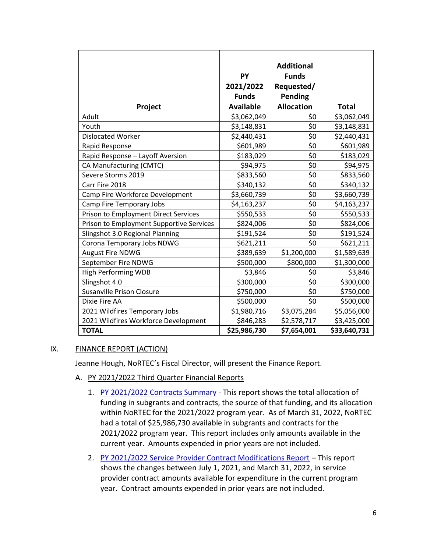| Project                                     | PY<br>2021/2022<br><b>Funds</b><br><b>Available</b> | <b>Additional</b><br><b>Funds</b><br>Requested/<br><b>Pending</b><br><b>Allocation</b> | <b>Total</b> |
|---------------------------------------------|-----------------------------------------------------|----------------------------------------------------------------------------------------|--------------|
| Adult                                       | \$3,062,049                                         | \$0                                                                                    | \$3,062,049  |
| Youth                                       | \$3,148,831                                         | \$0                                                                                    | \$3,148,831  |
| <b>Dislocated Worker</b>                    | \$2,440,431                                         | \$0                                                                                    | \$2,440,431  |
| Rapid Response                              | \$601,989                                           | \$0                                                                                    | \$601,989    |
| Rapid Response - Layoff Aversion            | \$183,029                                           | $\overline{\xi}$                                                                       | \$183,029    |
| CA Manufacturing (CMTC)                     | \$94,975                                            | \$0                                                                                    | \$94,975     |
| Severe Storms 2019                          | \$833,560                                           | \$0                                                                                    | \$833,560    |
| Carr Fire 2018                              | \$340,132                                           | \$0                                                                                    | \$340,132    |
| Camp Fire Workforce Development             | \$3,660,739                                         | \$0                                                                                    | \$3,660,739  |
| Camp Fire Temporary Jobs                    | \$4,163,237                                         | \$0                                                                                    | \$4,163,237  |
| <b>Prison to Employment Direct Services</b> | \$550,533                                           | \$0                                                                                    | \$550,533    |
| Prison to Employment Supportive Services    | \$824,006                                           | \$0                                                                                    | \$824,006    |
| Slingshot 3.0 Regional Planning             | \$191,524                                           | \$0                                                                                    | \$191,524    |
| Corona Temporary Jobs NDWG                  | \$621,211                                           | \$0                                                                                    | \$621,211    |
| <b>August Fire NDWG</b>                     | \$389,639                                           | \$1,200,000                                                                            | \$1,589,639  |
| September Fire NDWG                         | \$500,000                                           | \$800,000                                                                              | \$1,300,000  |
| <b>High Performing WDB</b>                  | \$3,846                                             | \$0                                                                                    | \$3,846      |
| Slingshot 4.0                               | \$300,000                                           | \$0                                                                                    | \$300,000    |
| <b>Susanville Prison Closure</b>            | \$750,000                                           | \$0                                                                                    | \$750,000    |
| Dixie Fire AA                               | \$500,000                                           | \$0                                                                                    | \$500,000    |
| 2021 Wildfires Temporary Jobs               | \$1,980,716                                         | \$3,075,284                                                                            | \$5,056,000  |
| 2021 Wildfires Workforce Development        | \$846,283                                           | \$2,578,717                                                                            | \$3,425,000  |
| <b>TOTAL</b>                                | \$25,986,730                                        | \$7,654,001                                                                            | \$33,640,731 |

### IX. FINANCE REPORT (ACTION)

Jeanne Hough, NoRTEC's Fiscal Director, will present the Finance Report.

- A. PY 2021/2022 Third Quarter Financial Reports
	- 1. [PY 2021/2022 Contracts Summary](https://www.ncen.org/images/documents/meetings/2021-2022/consum_033122.pdf) This report shows the total allocation of funding in subgrants and contracts, the source of that funding, and its allocation within NoRTEC for the 2021/2022 program year. As of March 31, 2022, NoRTEC had a total of \$25,986,730 available in subgrants and contracts for the 2021/2022 program year. This report includes only amounts available in the current year. Amounts expended in prior years are not included.
	- 2. [PY 2021/2022 Service Provider Contract Modifications Report](https://www.ncen.org/images/documents/meetings/2021-2022/conmod_033122.pdf) This report shows the changes between July 1, 2021, and March 31, 2022, in service provider contract amounts available for expenditure in the current program year. Contract amounts expended in prior years are not included.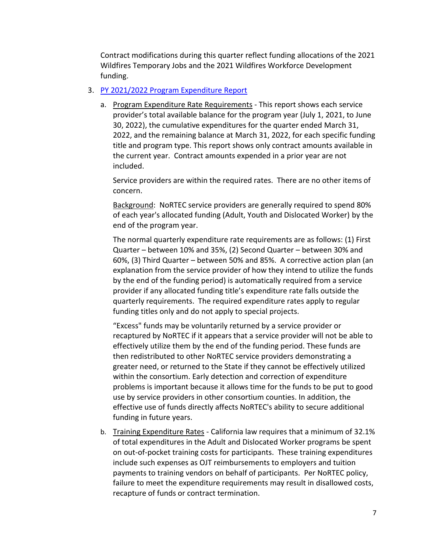Contract modifications during this quarter reflect funding allocations of the 2021 Wildfires Temporary Jobs and the 2021 Wildfires Workforce Development funding.

#### 3. [PY 2021/2022 Program Expenditure Report](http://ncen.org/images/documents/meetings/2021-2022/subexp_033122.pdf)

a. Program Expenditure Rate Requirements - This report shows each service provider's total available balance for the program year (July 1, 2021, to June 30, 2022), the cumulative expenditures for the quarter ended March 31, 2022, and the remaining balance at March 31, 2022, for each specific funding title and program type. This report shows only contract amounts available in the current year. Contract amounts expended in a prior year are not included.

Service providers are within the required rates. There are no other items of concern.

Background: NoRTEC service providers are generally required to spend 80% of each year's allocated funding (Adult, Youth and Dislocated Worker) by the end of the program year.

The normal quarterly expenditure rate requirements are as follows: (1) First Quarter – between 10% and 35%, (2) Second Quarter – between 30% and 60%, (3) Third Quarter – between 50% and 85%. A corrective action plan (an explanation from the service provider of how they intend to utilize the funds by the end of the funding period) is automatically required from a service provider if any allocated funding title's expenditure rate falls outside the quarterly requirements. The required expenditure rates apply to regular funding titles only and do not apply to special projects.

"Excess" funds may be voluntarily returned by a service provider or recaptured by NoRTEC if it appears that a service provider will not be able to effectively utilize them by the end of the funding period. These funds are then redistributed to other NoRTEC service providers demonstrating a greater need, or returned to the State if they cannot be effectively utilized within the consortium. Early detection and correction of expenditure problems is important because it allows time for the funds to be put to good use by service providers in other consortium counties. In addition, the effective use of funds directly affects NoRTEC's ability to secure additional funding in future years.

b. Training Expenditure Rates - California law requires that a minimum of 32.1% of total expenditures in the Adult and Dislocated Worker programs be spent on out-of-pocket training costs for participants. These training expenditures include such expenses as OJT reimbursements to employers and tuition payments to training vendors on behalf of participants. Per NoRTEC policy, failure to meet the expenditure requirements may result in disallowed costs, recapture of funds or contract termination.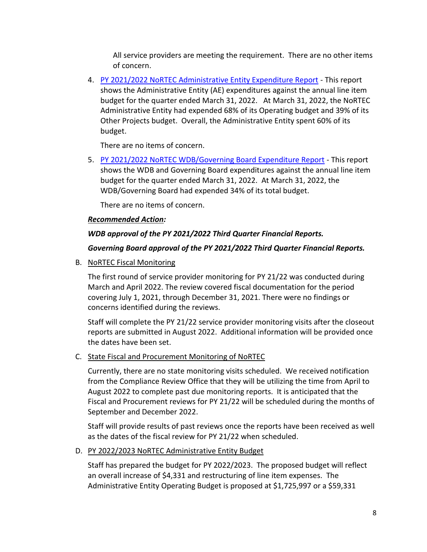All service providers are meeting the requirement. There are no other items of concern.

4. [PY 2021/2022 NoRTEC Administrative Entity Expenditure Report](https://www.ncen.org/images/documents/meetings/2021-2022/aeexp_033122.pdf) - This report shows the Administrative Entity (AE) expenditures against the annual line item budget for the quarter ended March 31, 2022. At March 31, 2022, the NoRTEC Administrative Entity had expended 68% of its Operating budget and 39% of its Other Projects budget. Overall, the Administrative Entity spent 60% of its budget.

There are no items of concern.

5. [PY 2021/2022 NoRTEC WDB/Governing Board Expenditure Report](https://www.ncen.org/images/documents/meetings/2021-2022/wdb_033122.pdf) - This report shows the WDB and Governing Board expenditures against the annual line item budget for the quarter ended March 31, 2022. At March 31, 2022, the WDB/Governing Board had expended 34% of its total budget.

There are no items of concern.

## *Recommended Action:*

## *WDB approval of the PY 2021/2022 Third Quarter Financial Reports.*

## *Governing Board approval of the PY 2021/2022 Third Quarter Financial Reports.*

B. NoRTEC Fiscal Monitoring

The first round of service provider monitoring for PY 21/22 was conducted during March and April 2022. The review covered fiscal documentation for the period covering July 1, 2021, through December 31, 2021. There were no findings or concerns identified during the reviews.

Staff will complete the PY 21/22 service provider monitoring visits after the closeout reports are submitted in August 2022. Additional information will be provided once the dates have been set.

## C. State Fiscal and Procurement Monitoring of NoRTEC

Currently, there are no state monitoring visits scheduled. We received notification from the Compliance Review Office that they will be utilizing the time from April to August 2022 to complete past due monitoring reports. It is anticipated that the Fiscal and Procurement reviews for PY 21/22 will be scheduled during the months of September and December 2022.

Staff will provide results of past reviews once the reports have been received as well as the dates of the fiscal review for PY 21/22 when scheduled.

## D. PY 2022/2023 NoRTEC Administrative Entity Budget

Staff has prepared the budget for PY 2022/2023. The proposed budget will reflect an overall increase of \$4,331 and restructuring of line item expenses. The Administrative Entity Operating Budget is proposed at \$1,725,997 or a \$59,331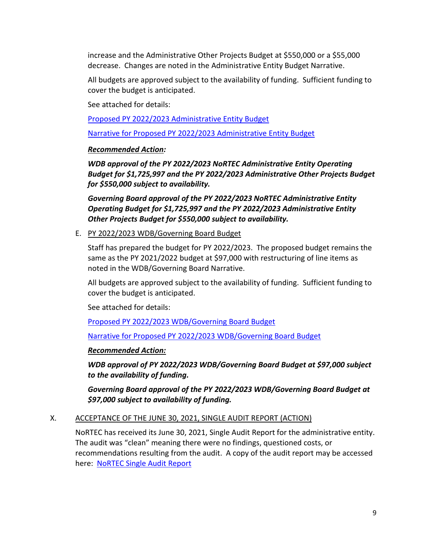increase and the Administrative Other Projects Budget at \$550,000 or a \$55,000 decrease. Changes are noted in the Administrative Entity Budget Narrative.

All budgets are approved subject to the availability of funding. Sufficient funding to cover the budget is anticipated.

See attached for details:

Proposed PY 2022/2023 [Administrative Entity Budget](https://ncen.org/images/documents/meetings/2021-2022/ae_budget_py_2022_2023.pdf)

[Narrative for Proposed PY 2022/2023](https://ncen.org/images/documents/meetings/2021-2022/ae_budnar_py_2022_2023.pdf) Administrative Entity Budget

## *Recommended Action:*

*WDB approval of the PY 2022/2023 NoRTEC Administrative Entity Operating Budget for \$1,725,997 and the PY 2022/2023 Administrative Other Projects Budget for \$550,000 subject to availability.*

*Governing Board approval of the PY 2022/2023 NoRTEC Administrative Entity Operating Budget for \$1,725,997 and the PY 2022/2023 Administrative Entity Other Projects Budget for \$550,000 subject to availability.*

## E. PY 2022/2023 WDB/Governing Board Budget

Staff has prepared the budget for PY 2022/2023. The proposed budget remains the same as the PY 2021/2022 budget at \$97,000 with restructuring of line items as noted in the WDB/Governing Board Narrative.

All budgets are approved subject to the availability of funding. Sufficient funding to cover the budget is anticipated.

See attached for details:

[Proposed PY 2022/2023 WDB/Governing Board Budget](https://ncen.org/images/documents/meetings/2021-2022/wdbgb_budget_py_2022_2023.pdf)

[Narrative for Proposed PY 2022/2023](https://ncen.org/images/documents/meetings/2021-2022/wdbgb_budnar_py_2022_2023.pdf) WDB/Governing Board Budget

## *Recommended Action:*

*WDB approval of PY 2022/2023 WDB/Governing Board Budget at \$97,000 subject to the availability of funding.*

*Governing Board approval of the PY 2022/2023 WDB/Governing Board Budget at \$97,000 subject to availability of funding.*

## X. ACCEPTANCE OF THE JUNE 30, 2021, SINGLE AUDIT REPORT (ACTION)

NoRTEC has received its June 30, 2021, Single Audit Report for the administrative entity. The audit was "clean" meaning there were no findings, questioned costs, or recommendations resulting from the audit. A copy of the audit report may be accessed here: [NoRTEC Single Audit Report](http://ncen.org/images/documents/meetings/2021-2022/nortec_audit_063021.pdf)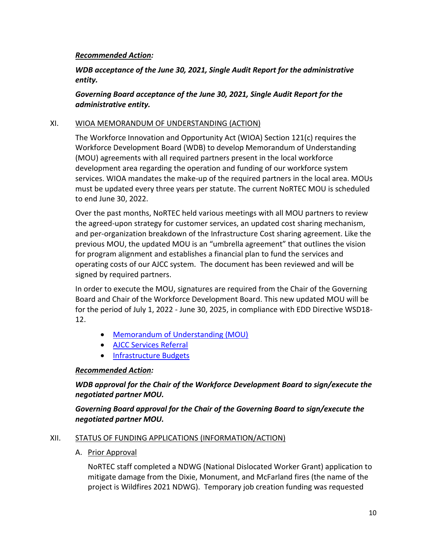## *Recommended Action:*

*WDB acceptance of the June 30, 2021, Single Audit Report for the administrative entity.*

*Governing Board acceptance of the June 30, 2021, Single Audit Report for the administrative entity.*

### XI. WIOA MEMORANDUM OF UNDERSTANDING (ACTION)

The Workforce Innovation and Opportunity Act (WIOA) Section 121(c) requires the Workforce Development Board (WDB) to develop Memorandum of Understanding (MOU) agreements with all required partners present in the local workforce development area regarding the operation and funding of our workforce system services. WIOA mandates the make-up of the required partners in the local area. MOUs must be updated every three years per statute. The current NoRTEC MOU is scheduled to end June 30, 2022.

Over the past months, NoRTEC held various meetings with all MOU partners to review the agreed-upon strategy for customer services, an updated cost sharing mechanism, and per-organization breakdown of the Infrastructure Cost sharing agreement. Like the previous MOU, the updated MOU is an "umbrella agreement" that outlines the vision for program alignment and establishes a financial plan to fund the services and operating costs of our AJCC system. The document has been reviewed and will be signed by required partners.

In order to execute the MOU, signatures are required from the Chair of the Governing Board and Chair of the Workforce Development Board. This new updated MOU will be for the period of July 1, 2022 - June 30, 2025, in compliance with EDD Directive WSD18- 12.

- [Memorandum of Understanding \(MOU\)](https://www.ncen.org/images/documents/Mous/2022-2025/NoRTEC-MOU-2022-2025.pdf)
- [AJCC Services Referral](https://www.ncen.org/images/documents/Mous/2022-2025/AJCC-Services-Referral.pdf)
- [Infrastructure Budgets](https://www.ncen.org/images/documents/Mous/2022-2025/Infrastructure-Budget-A-D-AJCC.pdf)

## *Recommended Action:*

*WDB approval for the Chair of the Workforce Development Board to sign/execute the negotiated partner MOU.*

*Governing Board approval for the Chair of the Governing Board to sign/execute the negotiated partner MOU.*

### XII. STATUS OF FUNDING APPLICATIONS (INFORMATION/ACTION)

A. Prior Approval

NoRTEC staff completed a NDWG (National Dislocated Worker Grant) application to mitigate damage from the Dixie, Monument, and McFarland fires (the name of the project is Wildfires 2021 NDWG). Temporary job creation funding was requested